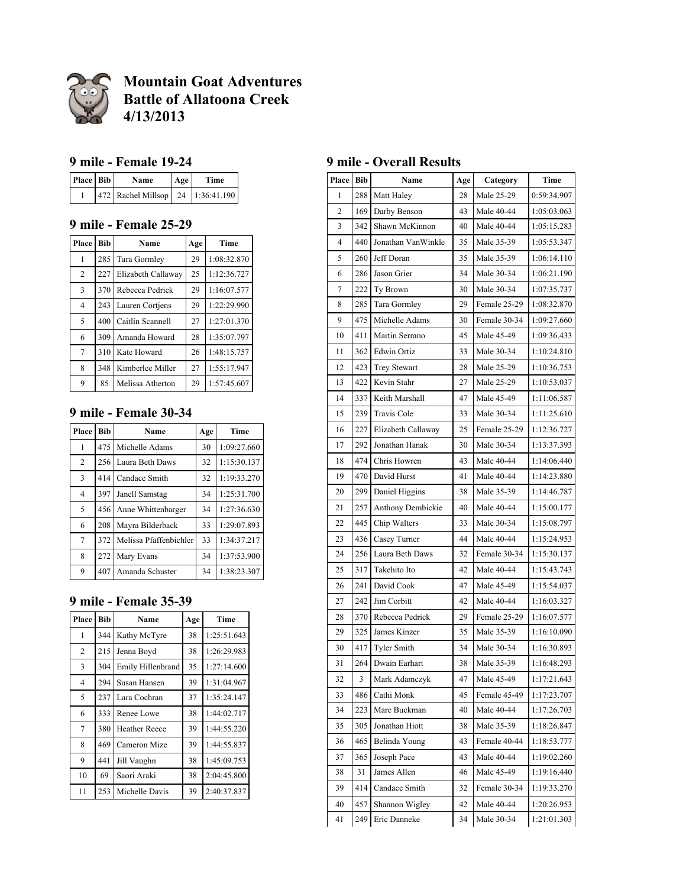

**Mountain Goat Adventures Battle of Allatoona Creek 4/13/2013**

#### **9 mile - Female 19-24**

| Place   Bib | Name                              | Age | Time |
|-------------|-----------------------------------|-----|------|
|             | 472 Rachel Millsop 24 1:36:41.190 |     |      |

## **9 mile - Female 25-29**

| Place          | <b>Bib</b> | Name               | Age | Time        |
|----------------|------------|--------------------|-----|-------------|
| 1              | 285        | Tara Gormley       | 29  | 1:08:32.870 |
| 2              | 227        | Elizabeth Callaway | 25  | 1:12:36.727 |
| $\overline{3}$ | 370        | Rebecca Pedrick    | 29  | 1:16:07.577 |
| $\overline{4}$ | 243        | Lauren Cortiens    | 29  | 1:22:29.990 |
| 5              | 400        | Caitlin Scannell   | 27  | 1:27:01.370 |
| 6              | 309        | Amanda Howard      | 28  | 1:35:07.797 |
| $\overline{7}$ | 310        | Kate Howard        | 26  | 1:48:15.757 |
| 8              | 348        | Kimberlee Miller   | 27  | 1:55:17.947 |
| 9              | 85         | Melissa Atherton   | 29  | 1:57:45.607 |

## **9 mile - Female 30-34**

| Place          | <b>Bib</b><br>Name                                                                                          |                        | Age | Time        |
|----------------|-------------------------------------------------------------------------------------------------------------|------------------------|-----|-------------|
| 1              | 475<br>Michelle Adams<br>$\overline{2}$<br>256<br>Laura Beth Daws<br>$\overline{3}$<br>414<br>Candace Smith |                        | 30  | 1:09:27.660 |
|                |                                                                                                             |                        | 32  | 1:15:30.137 |
|                |                                                                                                             |                        | 32  | 1:19:33.270 |
| 4              | 397                                                                                                         | Janell Samstag         | 34  | 1:25:31.700 |
| 5              | 456                                                                                                         | Anne Whittenbarger     | 34  | 1:27:36.630 |
| 6              | 208                                                                                                         | Mayra Bilderback       | 33  | 1:29:07.893 |
| $\overline{7}$ | 372                                                                                                         | Melissa Pfaffenbichler | 33  | 1:34:37.217 |
| 8              | 272                                                                                                         | Mary Evans             | 34  | 1:37:53.900 |
| 9              | 407                                                                                                         | Amanda Schuster        | 34  | 1:38:23.307 |

### **9 mile - Female 35-39**

| Place          | Bib | Name                 | Age | Time        |
|----------------|-----|----------------------|-----|-------------|
| 1              | 344 | Kathy McTyre         | 38  | 1:25:51.643 |
| 2              | 215 | Jenna Boyd           | 38  | 1:26:29.983 |
| 3              | 304 | Emily Hillenbrand    | 35  | 1:27:14.600 |
| $\overline{4}$ | 294 | Susan Hansen         | 39  | 1:31:04.967 |
| 5              | 237 | Lara Cochran         | 37  | 1:35:24.147 |
| 6              | 333 | Renee Lowe           | 38  | 1:44:02.717 |
| 7              | 380 | <b>Heather Reece</b> | 39  | 1:44:55.220 |
| 8              | 469 | Cameron Mize         | 39  | 1:44:55.837 |
| 9              | 441 | Jill Vaughn          | 38  | 1:45:09.753 |
| 10             | 69  | Saori Araki          | 38  | 2:04:45.800 |
| 11             | 253 | Michelle Davis       | 39  | 2:40:37.837 |

### **9 mile - Overall Results**

| Place            | <b>Bib</b>              | Name                | Age        | Category     | Time        |
|------------------|-------------------------|---------------------|------------|--------------|-------------|
| 1                | 288                     | Matt Haley          | 28         | Male 25-29   | 0:59:34.907 |
| 2                | 169                     | Darby Benson        | 43         | Male 40-44   | 1:05:03.063 |
| 3                | 342                     | Shawn McKinnon      | 40         | Male 40-44   | 1:05:15.283 |
| 4                | 440                     | Jonathan VanWinkle  | 35         | Male 35-39   | 1:05:53.347 |
| 5                | 260                     | Jeff Doran          | 35         | Male 35-39   | 1:06:14.110 |
| 6                | 286                     | Jason Grier         | 34         | Male 30-34   | 1:06:21.190 |
| $\boldsymbol{7}$ | 222                     | Ty Brown            | 30         | Male 30-34   | 1:07:35.737 |
| 8                | 285                     | Tara Gormley        | 29         | Female 25-29 | 1:08:32.870 |
| 9                | 475                     | Michelle Adams      | 30         | Female 30-34 | 1:09:27.660 |
| 10               | 411                     | Martin Serrano      | 45         | Male 45-49   | 1:09:36.433 |
| 11               | 362                     | <b>Edwin Ortiz</b>  | 33         | Male 30-34   | 1:10:24.810 |
| 12               | 423                     | <b>Trey Stewart</b> | 28         | Male 25-29   | 1:10:36.753 |
| 13               | 422                     | Kevin Stahr         | 27         | Male 25-29   | 1:10:53.037 |
| 14               | 337                     | Keith Marshall      | 47         | Male 45-49   | 1:11:06.587 |
| 15               | 239                     | <b>Travis Cole</b>  | 33         | Male 30-34   | 1:11:25.610 |
| 16               | 227                     | Elizabeth Callaway  | 25         | Female 25-29 | 1:12:36.727 |
| 17               | 292                     | Jonathan Hanak      | 30         | Male 30-34   | 1:13:37.393 |
| 18               | 474                     | Chris Howren        | 43         | Male 40-44   | 1:14:06.440 |
| 19               | 470                     | David Hurst         | 41         | Male 40-44   | 1:14:23.880 |
| 20               | 299                     | Daniel Higgins      | 38         | Male 35-39   | 1:14:46.787 |
| 21               | 257                     | Anthony Dembickie   | 40         | Male 40-44   | 1:15:00.177 |
| 22               | 445                     | Chip Walters        | 33         | Male 30-34   | 1:15:08.797 |
| 23               | 436                     | Casey Turner        | 44         | Male 40-44   | 1:15:24.953 |
| 24               | 256                     | Laura Beth Daws     | 32         | Female 30-34 | 1:15:30.137 |
| 25               | 317                     | Takehito Ito        | 42         | Male 40-44   | 1:15:43.743 |
| 26               | 241                     | David Cook          | 47         | Male 45-49   | 1:15:54.037 |
| 27               | 242                     | Jim Corbitt         | 42         | Male 40-44   | 1:16:03.327 |
| 28               | 370                     | Rebecca Pedrick     | 29         | Female 25-29 | 1:16:07.577 |
| 29               | 325                     | James Kinzer        | 35         | Male 35-39   | 1:16:10.090 |
| 30               | 417                     | <b>Tyler Smith</b>  | 34         | Male 30-34   | 1:16:30.893 |
| 31               | 264                     | Dwain Earhart       | 38         | Male 35-39   | 1:16:48.293 |
| 32               | 3                       | Mark Adamczyk       | 47         | Male 45-49   | 1:17:21.643 |
| 33               | 486                     | Cathi Monk          | 45         | Female 45-49 | 1:17:23.707 |
| 34               | 223                     | Marc Buckman        | 40         | Male 40-44   | 1:17:26.703 |
| 35               | 305                     | Jonathan Hiott      | 38         | Male 35-39   | 1:18:26.847 |
| 36               | 465                     | Belinda Young       | 43         | Female 40-44 | 1:18:53.777 |
| 37               | 365                     | Joseph Pace         | 43         | Male 40-44   | 1:19:02.260 |
| 38               | James Allen<br>31<br>46 |                     | Male 45-49 | 1:19:16.440  |             |
| 39               | 414                     | Candace Smith       | 32         | Female 30-34 | 1:19:33.270 |
| 40               | 457                     | Shannon Wigley      | 42         | Male 40-44   | 1:20:26.953 |
| 41               | 249                     | Eric Danneke        | 34         | Male 30-34   | 1:21:01.303 |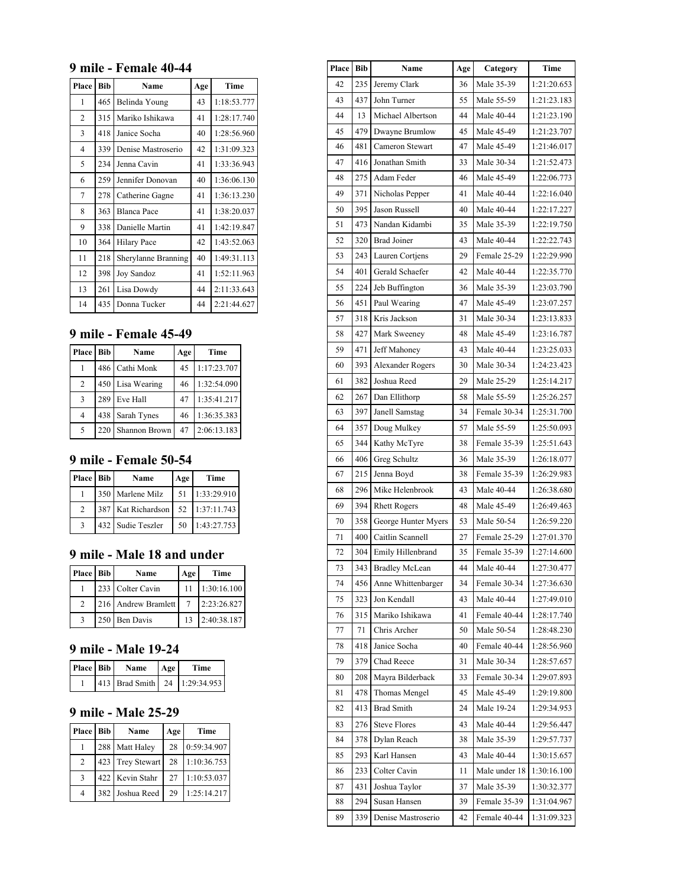#### **9 mile - Female 40-44**

| Place          | <b>Bib</b> | Name                | Age | Time        |
|----------------|------------|---------------------|-----|-------------|
| 1              | 465        | Belinda Young       | 43  | 1:18:53.777 |
| $\overline{c}$ | 315        | Mariko Ishikawa     | 41  | 1:28:17.740 |
| 3              | 418        | Janice Socha        | 40  | 1:28:56.960 |
| 4              | 339        | Denise Mastroserio  | 42  | 1:31:09.323 |
| 5              | 234        | Jenna Cavin         | 41  | 1:33:36.943 |
| 6              | 259        | Jennifer Donovan    | 40  | 1:36:06.130 |
| 7              | 278        | Catherine Gagne     | 41  | 1:36:13.230 |
| 8              | 363        | <b>Blanca Pace</b>  | 41  | 1:38:20.037 |
| 9              | 338        | Danielle Martin     | 41  | 1:42:19.847 |
| 10             | 364        | <b>Hilary Pace</b>  | 42  | 1:43:52.063 |
| 11             | 218        | Sherylanne Branning | 40  | 1:49:31.113 |
| 12             | 398        | <b>Joy Sandoz</b>   | 41  | 1:52:11.963 |
| 13             | 261        | Lisa Dowdy          | 44  | 2:11:33.643 |
| 14             | 435        | Donna Tucker        | 44  | 2:21:44.627 |

### **9 mile - Female 45-49**

| Place Bib      |     | Name           | Age | Time        |
|----------------|-----|----------------|-----|-------------|
|                |     | 486 Cathi Monk | 45  | 1:17:23.707 |
| 2              | 450 | Lisa Wearing   | 46  | 1:32:54.090 |
| 3              | 289 | Eve Hall       | 47  | 1:35:41.217 |
| $\overline{4}$ | 438 | Sarah Tynes    | 46  | 1:36:35.383 |
| 5              | 220 | Shannon Brown  | 47  | 2:06:13.183 |

## **9 mile - Female 50-54**

| Place Bib     | Name                 | Age | Time        |
|---------------|----------------------|-----|-------------|
|               | 350   Marlene Milz   | 51  | 1:33:29.910 |
| $\mathcal{L}$ | 387   Kat Richardson | 52  | 1:37:11.743 |
|               | 432   Sudie Teszler  | 50  | 1:43:27.753 |

#### **9 mile - Male 18 and under**

| Place   Bib | Name                  | Age | Time        |
|-------------|-----------------------|-----|-------------|
|             | 233 Colter Cavin      | 11  | 1:30:16.100 |
|             | 216   Andrew Bramlett |     | 2:23:26.827 |
|             | 250 Ben Davis         | 13  | 2:40:38.187 |

### **9 mile - Male 19-24**

| Place   Bib | <b>Name</b> | Age | Time                                |
|-------------|-------------|-----|-------------------------------------|
|             |             |     | 413   Brad Smith   24   1:29:34.953 |

### **9 mile - Male 25-29**

| Place   Bib    | Name             | Age | <b>Time</b> |
|----------------|------------------|-----|-------------|
|                | 288 Matt Haley   | 28  | 0:59:34.907 |
| 2              | 423 Trey Stewart | 28  | 1:10:36.753 |
| 3              | 422 Kevin Stahr  | 27  | 1:10:53.037 |
| $\overline{4}$ | 382 Joshua Reed  | 29  | 1:25:14.217 |

| <b>Place</b> | <b>Bib</b> | Name                  | Age | Category      | Time        |
|--------------|------------|-----------------------|-----|---------------|-------------|
| 42           | 235        | Jeremy Clark          | 36  | Male 35-39    | 1:21:20.653 |
| 43           | 437        | John Turner           | 55  | Male 55-59    | 1:21:23.183 |
| 44           | 13         | Michael Albertson     | 44  | Male 40-44    | 1:21:23.190 |
| 45           | 479        | Dwayne Brumlow        | 45  | Male 45-49    | 1:21:23.707 |
| 46           | 481        | Cameron Stewart       | 47  | Male 45-49    | 1:21:46.017 |
| 47           | 416        | Jonathan Smith        | 33  | Male 30-34    | 1:21:52.473 |
| 48           | 275        | Adam Feder            | 46  | Male 45-49    | 1:22:06.773 |
| 49           | 371        | Nicholas Pepper       | 41  | Male 40-44    | 1:22:16.040 |
| 50           | 395        | Jason Russell         | 40  | Male 40-44    | 1:22:17.227 |
| 51           | 473        | Nandan Kidambi        | 35  | Male 35-39    | 1:22:19.750 |
| 52           | 320        | <b>Brad Joiner</b>    | 43  | Male 40-44    | 1:22:22.743 |
| 53           | 243        | Lauren Cortjens       | 29  | Female 25-29  | 1:22:29.990 |
| 54           | 401        | Gerald Schaefer       | 42  | Male 40-44    | 1:22:35.770 |
| 55           | 224        | Jeb Buffington        | 36  | Male 35-39    | 1:23:03.790 |
| 56           | 451        | Paul Wearing          | 47  | Male 45-49    | 1:23:07.257 |
| 57           | 318        | Kris Jackson          | 31  | Male 30-34    | 1:23:13.833 |
| 58           | 427        | Mark Sweeney          | 48  | Male 45-49    | 1:23:16.787 |
| 59           | 471        | Jeff Mahoney          | 43  | Male 40-44    | 1:23:25.033 |
| 60           | 393        | Alexander Rogers      | 30  | Male 30-34    | 1:24:23.423 |
| 61           | 382        | Joshua Reed           | 29  | Male 25-29    | 1:25:14.217 |
| 62           | 267        | Dan Ellithorp         | 58  | Male 55-59    | 1:25:26.257 |
| 63           | 397        | Janell Samstag        | 34  | Female 30-34  | 1:25:31.700 |
| 64           | 357        | Doug Mulkey           | 57  | Male 55-59    | 1:25:50.093 |
| 65           | 344        | Kathy McTyre          | 38  | Female 35-39  | 1:25:51.643 |
| 66           | 406        | Greg Schultz          | 36  | Male 35-39    | 1:26:18.077 |
| 67           | 215        | Jenna Boyd            | 38  | Female 35-39  | 1:26:29.983 |
| 68           | 296        | Mike Helenbrook       | 43  | Male 40-44    | 1:26:38.680 |
| 69           | 394        | <b>Rhett Rogers</b>   | 48  | Male 45-49    | 1:26:49.463 |
| 70           | 358        | George Hunter Myers   | 53  | Male 50-54    | 1:26:59.220 |
| 71           | 400        | Caitlin Scannell      | 27  | Female 25-29  | 1:27:01.370 |
| 72           | 304        | Emily Hillenbrand     | 35  | Female 35-39  | 1:27:14.600 |
| 73           | 343        | <b>Bradley McLean</b> | 44  | Male 40-44    | 1:27:30.477 |
| 74           | 456        | Anne Whittenbarger    | 34  | Female 30-34  | 1:27:36.630 |
| 75           | 323        | Jon Kendall           | 43  | Male 40-44    | 1:27:49.010 |
| 76           | 315        | Mariko Ishikawa       | 41  | Female 40-44  | 1:28:17.740 |
| 77           | 71         | Chris Archer          | 50  | Male 50-54    | 1:28:48.230 |
| 78           | 418        | Janice Socha          | 40  | Female 40-44  | 1:28:56.960 |
| 79           | 379        | Chad Reece            | 31  | Male 30-34    | 1:28:57.657 |
| 80           | 208        | Mayra Bilderback      | 33  | Female 30-34  | 1:29:07.893 |
| 81           | 478        | Thomas Mengel         | 45  | Male 45-49    | 1:29:19.800 |
| 82           | 413        | <b>Brad Smith</b>     | 24  | Male 19-24    | 1:29:34.953 |
| 83           | 276        | <b>Steve Flores</b>   | 43  | Male 40-44    | 1:29:56.447 |
| 84           | 378        | Dylan Reach           | 38  | Male 35-39    | 1:29:57.737 |
| 85           | 293        | Karl Hansen           | 43  | Male 40-44    | 1:30:15.657 |
| 86           | 233        | Colter Cavin          | 11  | Male under 18 | 1:30:16.100 |
| 87           | 431        | Joshua Taylor         | 37  | Male 35-39    | 1:30:32.377 |
| 88           | 294        | Susan Hansen          | 39  | Female 35-39  | 1:31:04.967 |
| 89           | 339        | Denise Mastroserio    | 42  | Female 40-44  | 1:31:09.323 |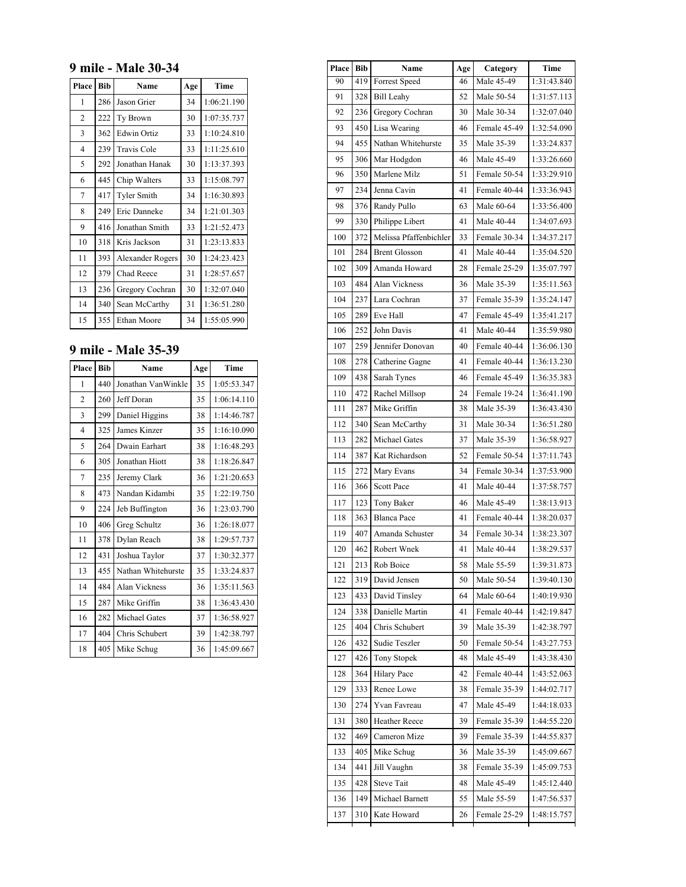#### **9 mile - Male 30-34**

| Place          | <b>Bib</b> | Name               | Age | Time        |
|----------------|------------|--------------------|-----|-------------|
| 1              | 286        | Jason Grier        | 34  | 1:06:21.190 |
| $\overline{c}$ | 222        | Ty Brown           | 30  | 1:07:35.737 |
| 3              | 362        | <b>Edwin Ortiz</b> | 33  | 1:10:24.810 |
| 4              | 239        | Travis Cole        | 33  | 1:11:25.610 |
| 5              | 292        | Jonathan Hanak     | 30  | 1:13:37.393 |
| 6              | 445        | Chip Walters       | 33  | 1:15:08.797 |
| 7              | 417        | <b>Tyler Smith</b> | 34  | 1:16:30.893 |
| 8              | 249        | Eric Danneke       | 34  | 1:21:01.303 |
| 9              | 416        | Jonathan Smith     | 33  | 1:21:52.473 |
| 10             | 318        | Kris Jackson       | 31  | 1:23:13.833 |
| 11             | 393        | Alexander Rogers   | 30  | 1:24:23.423 |
| 12             | 379        | Chad Reece         | 31  | 1:28:57.657 |
| 13             | 236        | Gregory Cochran    | 30  | 1:32:07.040 |
| 14             | 340        | Sean McCarthy      | 31  | 1:36:51.280 |
| 15             | 355        | Ethan Moore        | 34  | 1:55:05.990 |

## **9 mile - Male 35-39**

| Place          | <b>Bib</b> | Name                 | Age | <b>Time</b> |
|----------------|------------|----------------------|-----|-------------|
| 1              | 440        | Jonathan VanWinkle   | 35  | 1:05:53.347 |
| $\overline{c}$ | 260        | Jeff Doran           | 35  | 1:06:14.110 |
| 3              | 299        | Daniel Higgins       | 38  | 1:14:46.787 |
| $\overline{4}$ | 325        | James Kinzer         | 35  | 1:16:10.090 |
| 5              | 264        | Dwain Earhart        | 38  | 1:16:48.293 |
| 6              | 305        | Jonathan Hiott       | 38  | 1:18:26.847 |
| 7              | 235        | Jeremy Clark         | 36  | 1:21:20.653 |
| 8              | 473        | Nandan Kidambi       | 35  | 1:22:19.750 |
| 9              | 224        | Jeb Buffington       | 36  | 1:23:03.790 |
| 10             | 406        | Greg Schultz         | 36  | 1:26:18.077 |
| 11             | 378        | Dylan Reach          | 38  | 1:29:57.737 |
| 12             | 431        | Joshua Taylor        | 37  | 1:30:32.377 |
| 13             | 455        | Nathan Whitehurste   | 35  | 1:33:24.837 |
| 14             | 484        | <b>Alan Vickness</b> | 36  | 1:35:11.563 |
| 15             | 287        | Mike Griffin         | 38  | 1:36:43.430 |
| 16             | 282        | <b>Michael Gates</b> | 37  | 1:36:58.927 |
| 17             | 404        | Chris Schubert       | 39  | 1:42:38.797 |
| 18             | 405        | Mike Schug           | 36  | 1:45:09.667 |

| Place | <b>Bib</b> | Name                   | Age | Category     | Time        |
|-------|------------|------------------------|-----|--------------|-------------|
| 90    | 419        | <b>Forrest Speed</b>   | 46  | Male 45-49   | 1:31:43.840 |
| 91    | 328        | <b>Bill Leahy</b>      | 52  | Male 50-54   | 1:31:57.113 |
| 92    | 236        | Gregory Cochran        | 30  | Male 30-34   | 1:32:07.040 |
| 93    | 450        | Lisa Wearing           | 46  | Female 45-49 | 1:32:54.090 |
| 94    | 455        | Nathan Whitehurste     | 35  | Male 35-39   | 1:33:24.837 |
| 95    | 306        | Mar Hodgdon            | 46  | Male 45-49   | 1:33:26.660 |
| 96    | 350        | Marlene Milz           | 51  | Female 50-54 | 1:33:29.910 |
| 97    | 234        | Jenna Cavin            | 41  | Female 40-44 | 1:33:36.943 |
| 98    | 376        | Randy Pullo            | 63  | Male 60-64   | 1:33:56.400 |
| 99    | 330        | Philippe Libert        | 41  | Male 40-44   | 1:34:07.693 |
| 100   | 372        | Melissa Pfaffenbichler | 33  | Female 30-34 | 1:34:37.217 |
| 101   | 284        | <b>Brent Glosson</b>   | 41  | Male 40-44   | 1:35:04.520 |
| 102   | 309        | Amanda Howard          | 28  | Female 25-29 | 1:35:07.797 |
| 103   | 484        | Alan Vickness          | 36  | Male 35-39   | 1:35:11.563 |
| 104   | 237        | Lara Cochran           | 37  | Female 35-39 | 1:35:24.147 |
| 105   | 289        | Eve Hall               | 47  | Female 45-49 | 1:35:41.217 |
| 106   | 252        | John Davis             | 41  | Male 40-44   | 1:35:59.980 |
| 107   | 259        | Jennifer Donovan       | 40  | Female 40-44 | 1:36:06.130 |
| 108   | 278        | Catherine Gagne        | 41  | Female 40-44 | 1:36:13.230 |
| 109   | 438        | Sarah Tynes            | 46  | Female 45-49 | 1:36:35.383 |
| 110   | 472        | Rachel Millsop         | 24  | Female 19-24 | 1:36:41.190 |
| 111   | 287        | Mike Griffin           | 38  | Male 35-39   | 1:36:43.430 |
| 112   | 340        | Sean McCarthy          | 31  | Male 30-34   | 1:36:51.280 |
| 113   | 282        | <b>Michael Gates</b>   | 37  | Male 35-39   | 1:36:58.927 |
| 114   | 387        | Kat Richardson         | 52  | Female 50-54 | 1:37:11.743 |
| 115   | 272        | Mary Evans             | 34  | Female 30-34 | 1:37:53.900 |
| 116   | 366        | <b>Scott Pace</b>      | 41  | Male 40-44   | 1:37:58.757 |
| 117   | 123        | <b>Tony Baker</b>      | 46  | Male 45-49   | 1:38:13.913 |
| 118   | 363        | <b>Blanca Pace</b>     | 41  | Female 40-44 | 1:38:20.037 |
| 119   | 407        | Amanda Schuster        | 34  | Female 30-34 | 1:38:23.307 |
| 120   | 462        | Robert Wnek            | 41  | Male 40-44   | 1:38:29.537 |
| 121   | 213        | Rob Boice              | 58  | Male 55-59   | 1:39:31.873 |
| 122   | 319        | David Jensen           | 50  | Male 50-54   | 1:39:40.130 |
| 123   | 433        | David Tinsley          | 64  | Male 60-64   | 1:40:19.930 |
| 124   | 338        | Danielle Martin        | 41  | Female 40-44 | 1:42:19.847 |
| 125   | 404        | Chris Schubert         | 39  | Male 35-39   | 1:42:38.797 |
| 126   | 432        | Sudie Teszler          | 50  | Female 50-54 | 1:43:27.753 |
| 127   | 426        | Tony Stopek            | 48  | Male 45-49   | 1:43:38.430 |
| 128   | 364        | Hilary Pace            | 42  | Female 40-44 | 1:43:52.063 |
| 129   | 333        | Renee Lowe             | 38  | Female 35-39 | 1:44:02.717 |
| 130   | 274        | Yvan Favreau           | 47  | Male 45-49   | 1:44:18.033 |
| 131   | 380        | Heather Reece          | 39  | Female 35-39 | 1:44:55.220 |
| 132   | 469        | Cameron Mize           | 39  | Female 35-39 | 1:44:55.837 |
| 133   | 405        | Mike Schug             | 36  | Male 35-39   | 1:45:09.667 |
| 134   | 441        | Jill Vaughn            | 38  | Female 35-39 | 1:45:09.753 |
| 135   | 428        | <b>Steve Tait</b>      | 48  | Male 45-49   | 1:45:12.440 |
| 136   | 149        | Michael Barnett        | 55  | Male 55-59   | 1:47:56.537 |
| 137   | 310        | Kate Howard            | 26  | Female 25-29 | 1:48:15.757 |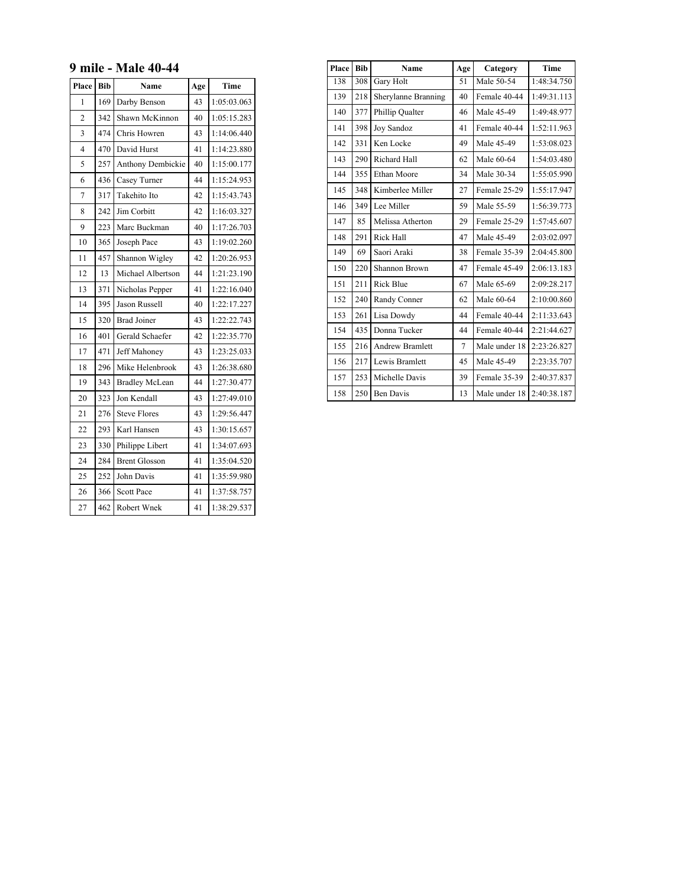#### **9 mile - Male 40-44**

| Place          | <b>Bib</b> | Age<br>Name           |    | Time        |
|----------------|------------|-----------------------|----|-------------|
| 1              | 169        | Darby Benson          | 43 | 1:05:03.063 |
| $\overline{2}$ | 342        | Shawn McKinnon        | 40 | 1:05:15.283 |
| $\overline{3}$ | 474        | Chris Howren          | 43 | 1:14:06.440 |
| $\overline{4}$ | 470        | David Hurst           | 41 | 1:14:23.880 |
| 5              | 257        | Anthony Dembickie     | 40 | 1:15:00.177 |
| 6              | 436        | Casey Turner          | 44 | 1:15:24.953 |
| $\overline{7}$ | 317        | Takehito Ito          | 42 | 1:15:43.743 |
| 8              | 242        | Jim Corbitt           | 42 | 1:16:03.327 |
| 9              | 223        | Marc Buckman          | 40 | 1:17:26.703 |
| 10             | 365        | Joseph Pace           | 43 | 1:19:02.260 |
| 11             | 457        | Shannon Wigley        | 42 | 1:20:26.953 |
| 12             | 13         | Michael Albertson     | 44 | 1:21:23.190 |
| 13             | 371        | Nicholas Pepper       | 41 | 1:22:16.040 |
| 14             | 395        | <b>Jason Russell</b>  | 40 | 1:22:17.227 |
| 15             | 320        | <b>Brad Joiner</b>    | 43 | 1:22:22.743 |
| 16             | 401        | Gerald Schaefer       | 42 | 1:22:35.770 |
| 17             | 471        | Jeff Mahoney          | 43 | 1:23:25.033 |
| 18             | 296        | Mike Helenbrook       | 43 | 1:26:38.680 |
| 19             | 343        | <b>Bradley McLean</b> | 44 | 1:27:30.477 |
| 20             | 323        | Jon Kendall           | 43 | 1:27:49.010 |
| 21             | 276        | <b>Steve Flores</b>   | 43 | 1:29:56.447 |
| 22             | 293        | Karl Hansen           | 43 | 1:30:15.657 |
| 23             | 330        | Philippe Libert       | 41 | 1:34:07.693 |
| 24             | 284        | <b>Brent Glosson</b>  | 41 | 1:35:04.520 |
| 25             | 252        | John Davis            | 41 | 1:35:59.980 |
| 26             | 366        | <b>Scott Pace</b>     | 41 | 1:37:58.757 |
| 27             | 462        | Robert Wnek           | 41 | 1:38:29.537 |

| Place | <b>Bib</b> | Name                   | Age             | Category      | Time        |
|-------|------------|------------------------|-----------------|---------------|-------------|
| 138   | 308        | <b>Gary Holt</b>       | $\overline{51}$ | Male 50-54    | 1:48:34.750 |
| 139   | 218        | Sherylanne Branning    | 40              | Female 40-44  | 1:49:31.113 |
| 140   | 377        | Phillip Qualter        | 46              | Male 45-49    | 1:49:48.977 |
| 141   | 398        | Joy Sandoz             | 41              | Female 40-44  | 1:52:11.963 |
| 142   | 331        | Ken Locke              | 49              | Male 45-49    | 1:53:08.023 |
| 143   | 290        | Richard Hall           | 62              | Male 60-64    | 1:54:03.480 |
| 144   | 355        | Ethan Moore            | 34              | Male 30-34    | 1:55:05.990 |
| 145   | 348        | Kimberlee Miller       | 27              | Female 25-29  | 1:55:17.947 |
| 146   | 349        | Lee Miller             | 59              | Male 55-59    | 1:56:39.773 |
| 147   | 85         | Melissa Atherton       | 29              | Female 25-29  | 1:57:45.607 |
| 148   | 291        | <b>Rick Hall</b>       | 47              | Male 45-49    | 2:03:02.097 |
| 149   | 69         | Saori Araki            | 38              | Female 35-39  | 2:04:45.800 |
| 150   | 220        | Shannon Brown          | 47              | Female 45-49  | 2:06:13.183 |
| 151   | 211        | <b>Rick Blue</b>       | 67              | Male 65-69    | 2:09:28.217 |
| 152   | 240        | Randy Conner           | 62              | Male 60-64    | 2:10:00.860 |
| 153   | 261        | Lisa Dowdy             | 44              | Female 40-44  | 2:11:33.643 |
| 154   | 435        | Donna Tucker           | 44              | Female 40-44  | 2:21:44.627 |
| 155   | 216        | <b>Andrew Bramlett</b> | 7               | Male under 18 | 2:23:26.827 |
| 156   | 217        | Lewis Bramlett         | 45              | Male 45-49    | 2:23:35.707 |
| 157   | 253        | Michelle Davis         | 39              | Female 35-39  | 2:40:37.837 |
| 158   | 250        | <b>Ben Davis</b>       | 13              | Male under 18 | 2:40:38.187 |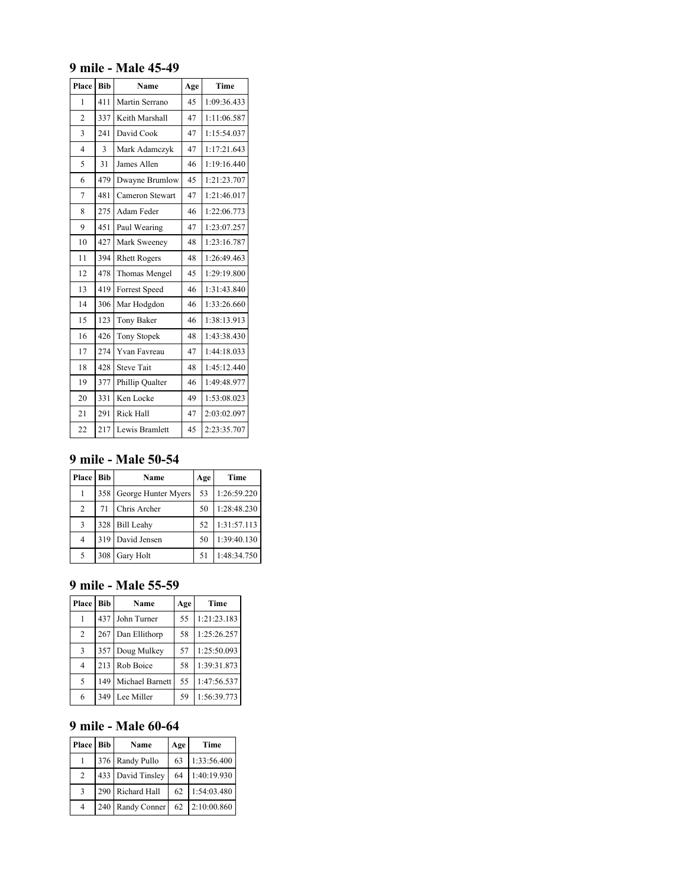#### **9 mile - Male 45-49**

| Place          | <b>Bib</b> | Name                | Age | Time        |
|----------------|------------|---------------------|-----|-------------|
| 1              | 411        | Martin Serrano      | 45  | 1:09:36.433 |
| $\overline{2}$ | 337        | Keith Marshall      | 47  | 1:11:06.587 |
| $\overline{3}$ | 241        | David Cook          | 47  | 1:15:54.037 |
| $\overline{4}$ | 3          | Mark Adamczyk       | 47  | 1:17:21.643 |
| 5              | 31         | James Allen         | 46  | 1:19:16.440 |
| 6              | 479        | Dwayne Brumlow      | 45  | 1:21:23.707 |
| $\overline{7}$ | 481        | Cameron Stewart     | 47  | 1:21:46.017 |
| 8              | 275        | Adam Feder          | 46  | 1:22:06.773 |
| 9              | 451        | Paul Wearing        | 47  | 1:23:07.257 |
| 10             | 427        | Mark Sweeney        | 48  | 1:23:16.787 |
| 11             | 394        | <b>Rhett Rogers</b> | 48  | 1:26:49.463 |
| 12             | 478        | Thomas Mengel       | 45  | 1:29:19.800 |
| 13             | 419        | Forrest Speed       | 46  | 1:31:43.840 |
| 14             | 306        | Mar Hodgdon         | 46  | 1:33:26.660 |
| 15             | 123        | Tony Baker          | 46  | 1:38:13.913 |
| 16             | 426        | Tony Stopek         | 48  | 1:43:38.430 |
| 17             | 274        | Yvan Favreau        | 47  | 1:44:18.033 |
| 18             | 428        | <b>Steve Tait</b>   | 48  | 1:45:12.440 |
| 19             | 377        | Phillip Qualter     | 46  | 1:49:48.977 |
| 20             | 331        | Ken Locke           | 49  | 1:53:08.023 |
| 21             | 291        | <b>Rick Hall</b>    | 47  | 2:03:02.097 |
| 22             | 217        | Lewis Bramlett      | 45  | 2:23:35.707 |

# **9 mile - Male 50-54**

| Place   Bib |     | Name                    | Age | Time        |
|-------------|-----|-------------------------|-----|-------------|
|             |     | 358 George Hunter Myers | 53  | 1:26:59.220 |
| 2           | 71  | Chris Archer            | 50  | 1:28:48.230 |
| 3           |     | 328 Bill Leahy          | 52  | 1:31:57.113 |
| 4           |     | 319   David Jensen      | 50  | 1:39:40.130 |
| 5           | 308 | Gary Holt               | 51  | 1:48:34.750 |

#### **9 mile - Male 55-59**

| Place          | Bib | Name            | Age | Time        |
|----------------|-----|-----------------|-----|-------------|
|                | 437 | John Turner     | 55  | 1:21:23.183 |
| $\overline{2}$ | 267 | Dan Ellithorp   | 58  | 1:25:26.257 |
| 3              | 357 | Doug Mulkey     | 57  | 1:25:50.093 |
| 4              | 213 | Rob Boice       | 58  | 1:39:31.873 |
| 5              | 149 | Michael Barnett | 55  | 1:47:56.537 |
| 6              | 349 | Lee Miller      | 59  | 1:56:39.773 |

### **9 mile - Male 60-64**

| Place   Bib    |     | Name              | Age | Time        |
|----------------|-----|-------------------|-----|-------------|
|                |     | 376   Randy Pullo | 63  | 1:33:56.400 |
| $\overline{c}$ |     | 433 David Tinsley | 64  | 1:40:19.930 |
| 3              |     | 290 Richard Hall  | 62  | 1:54:03.480 |
| 4              | 240 | Randy Conner      | 62  | 2:10:00.860 |